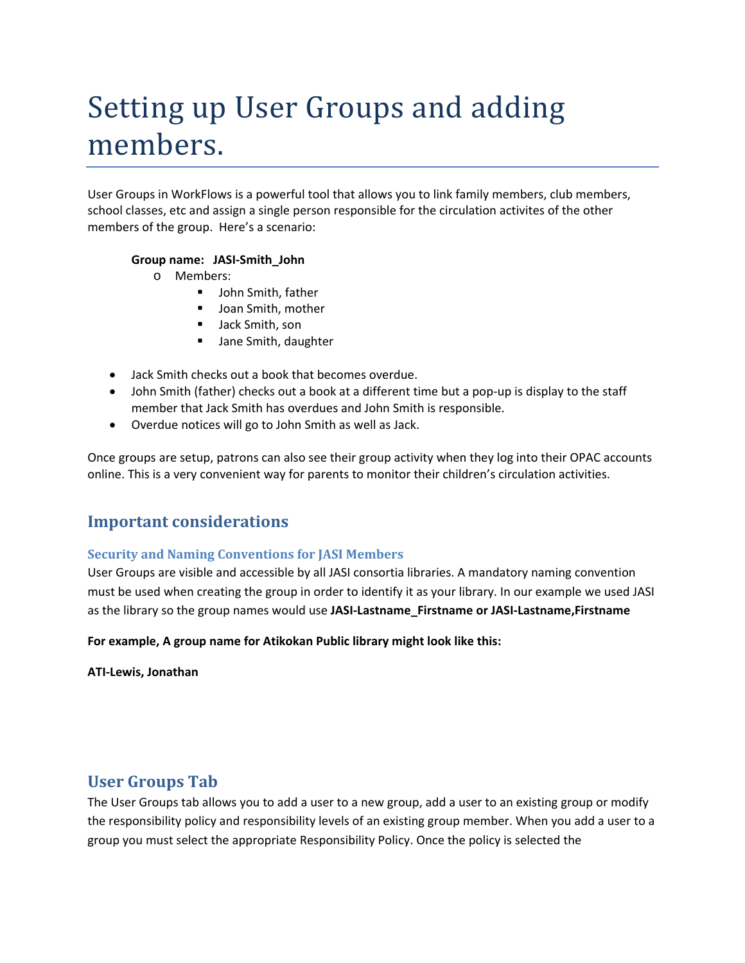# Setting up User Groups and adding members.

User Groups in WorkFlows is a powerful tool that allows you to link family members, club members, school classes, etc and assign a single person responsible for the circulation activites of the other members of the group. Here's a scenario:

#### **Group name: JASI‐Smith\_John**

- o Members:
	- **John Smith, father**
	- **Joan Smith, mother**
	- **Jack Smith, son**
	- Jane Smith, daughter
- Jack Smith checks out a book that becomes overdue.
- John Smith (father) checks out a book at a different time but a pop-up is display to the staff member that Jack Smith has overdues and John Smith is responsible.
- Overdue notices will go to John Smith as well as Jack.

Once groups are setup, patrons can also see their group activity when they log into their OPAC accounts online. This is a very convenient way for parents to monitor their children's circulation activities.

#### **Important considerations**

#### **Security and Naming Conventions for JASI Members**

User Groups are visible and accessible by all JASI consortia libraries. A mandatory naming convention must be used when creating the group in order to identify it as your library. In our example we used JASI as the library so the group names would use **JASI‐Lastname\_Firstname or JASI‐Lastname,Firstname**

#### **For example, A group name for Atikokan Public library might look like this:**

**ATI‐Lewis, Jonathan**

#### **User Groups Tab**

The User Groups tab allows you to add a user to a new group, add a user to an existing group or modify the responsibility policy and responsibility levels of an existing group member. When you add a user to a group you must select the appropriate Responsibility Policy. Once the policy is selected the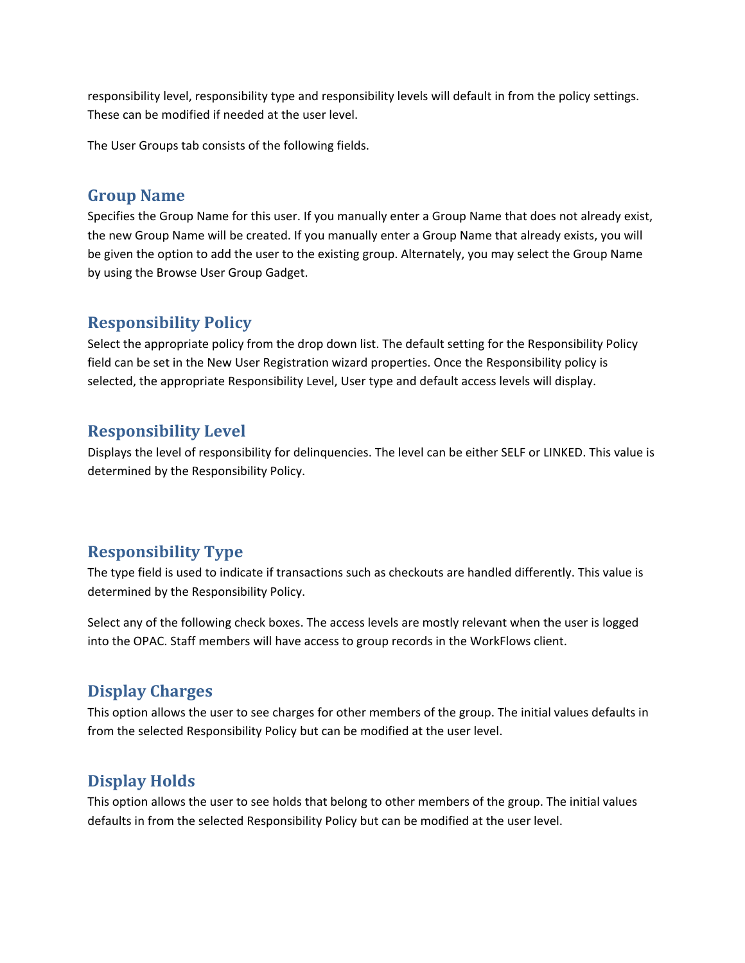responsibility level, responsibility type and responsibility levels will default in from the policy settings. These can be modified if needed at the user level.

The User Groups tab consists of the following fields.

#### **Group Name**

Specifies the Group Name for this user. If you manually enter a Group Name that does not already exist, the new Group Name will be created. If you manually enter a Group Name that already exists, you will be given the option to add the user to the existing group. Alternately, you may select the Group Name by using the Browse User Group Gadget.

## **Responsibility Policy**

Select the appropriate policy from the drop down list. The default setting for the Responsibility Policy field can be set in the New User Registration wizard properties. Once the Responsibility policy is selected, the appropriate Responsibility Level, User type and default access levels will display.

# **Responsibility Level**

Displays the level of responsibility for delinquencies. The level can be either SELF or LINKED. This value is determined by the Responsibility Policy.

# **Responsibility Type**

The type field is used to indicate if transactions such as checkouts are handled differently. This value is determined by the Responsibility Policy.

Select any of the following check boxes. The access levels are mostly relevant when the user is logged into the OPAC. Staff members will have access to group records in the WorkFlows client.

# **Display Charges**

This option allows the user to see charges for other members of the group. The initial values defaults in from the selected Responsibility Policy but can be modified at the user level.

## **Display Holds**

This option allows the user to see holds that belong to other members of the group. The initial values defaults in from the selected Responsibility Policy but can be modified at the user level.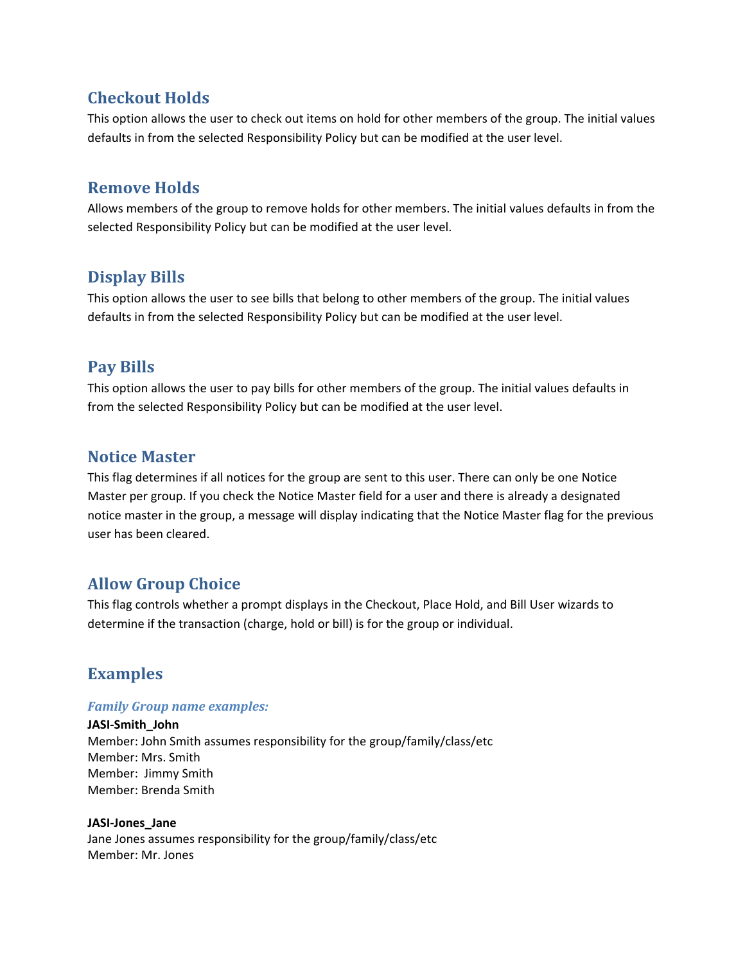## **Checkout Holds**

This option allows the user to check out items on hold for other members of the group. The initial values defaults in from the selected Responsibility Policy but can be modified at the user level.

#### **Remove Holds**

Allows members of the group to remove holds for other members. The initial values defaults in from the selected Responsibility Policy but can be modified at the user level.

# **Display Bills**

This option allows the user to see bills that belong to other members of the group. The initial values defaults in from the selected Responsibility Policy but can be modified at the user level.

# **Pay Bills**

This option allows the user to pay bills for other members of the group. The initial values defaults in from the selected Responsibility Policy but can be modified at the user level.

#### **Notice Master**

This flag determines if all notices for the group are sent to this user. There can only be one Notice Master per group. If you check the Notice Master field for a user and there is already a designated notice master in the group, a message will display indicating that the Notice Master flag for the previous user has been cleared.

## **Allow Group Choice**

This flag controls whether a prompt displays in the Checkout, Place Hold, and Bill User wizards to determine if the transaction (charge, hold or bill) is for the group or individual.

# **Examples**

#### *Family Group name examples:*

**JASI‐Smith\_John** Member: John Smith assumes responsibility for the group/family/class/etc Member: Mrs. Smith Member: Jimmy Smith Member: Brenda Smith

#### **JASI‐Jones\_Jane**

Jane Jones assumes responsibility for the group/family/class/etc Member: Mr. Jones